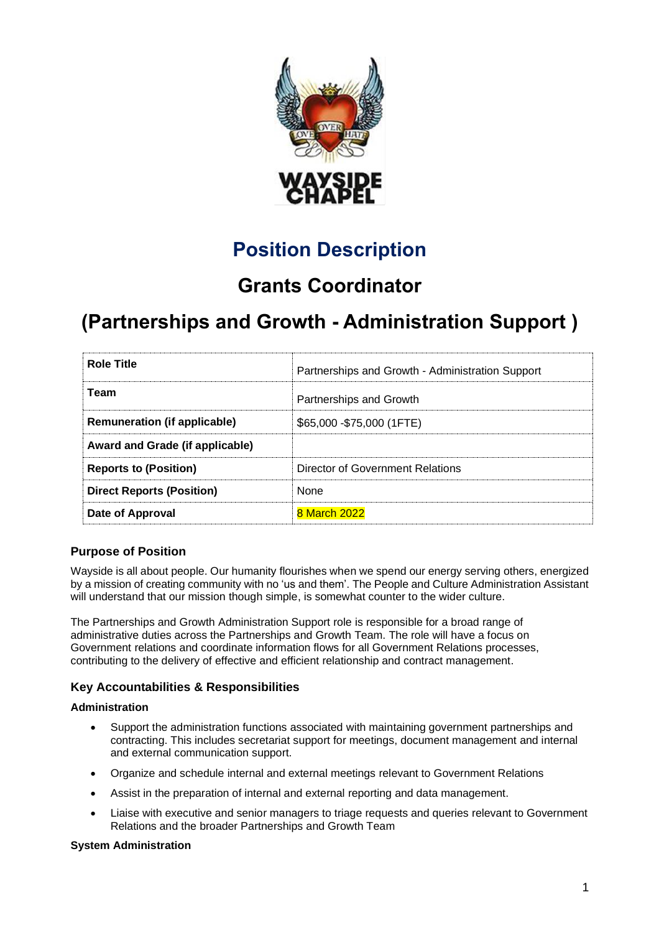

# **Position Description**

## **Grants Coordinator**

# **(Partnerships and Growth - Administration Support )**

| <b>Role Title</b>                   | Partnerships and Growth - Administration Support |
|-------------------------------------|--------------------------------------------------|
| Team                                | Partnerships and Growth                          |
| <b>Remuneration (if applicable)</b> | \$65,000 - \$75,000 (1FTE)                       |
| Award and Grade (if applicable)     |                                                  |
| <b>Reports to (Position)</b>        | Director of Government Relations                 |
| <b>Direct Reports (Position)</b>    | <b>None</b>                                      |
| Date of Approval                    | 8 March 2022                                     |

### **Purpose of Position**

Wayside is all about people. Our humanity flourishes when we spend our energy serving others, energized by a mission of creating community with no 'us and them'. The People and Culture Administration Assistant will understand that our mission though simple, is somewhat counter to the wider culture.

The Partnerships and Growth Administration Support role is responsible for a broad range of administrative duties across the Partnerships and Growth Team. The role will have a focus on Government relations and coordinate information flows for all Government Relations processes, contributing to the delivery of effective and efficient relationship and contract management.

## **Key Accountabilities & Responsibilities**

#### **Administration**

- Support the administration functions associated with maintaining government partnerships and contracting. This includes secretariat support for meetings, document management and internal and external communication support.
- Organize and schedule internal and external meetings relevant to Government Relations
- Assist in the preparation of internal and external reporting and data management.
- Liaise with executive and senior managers to triage requests and queries relevant to Government Relations and the broader Partnerships and Growth Team

#### **System Administration**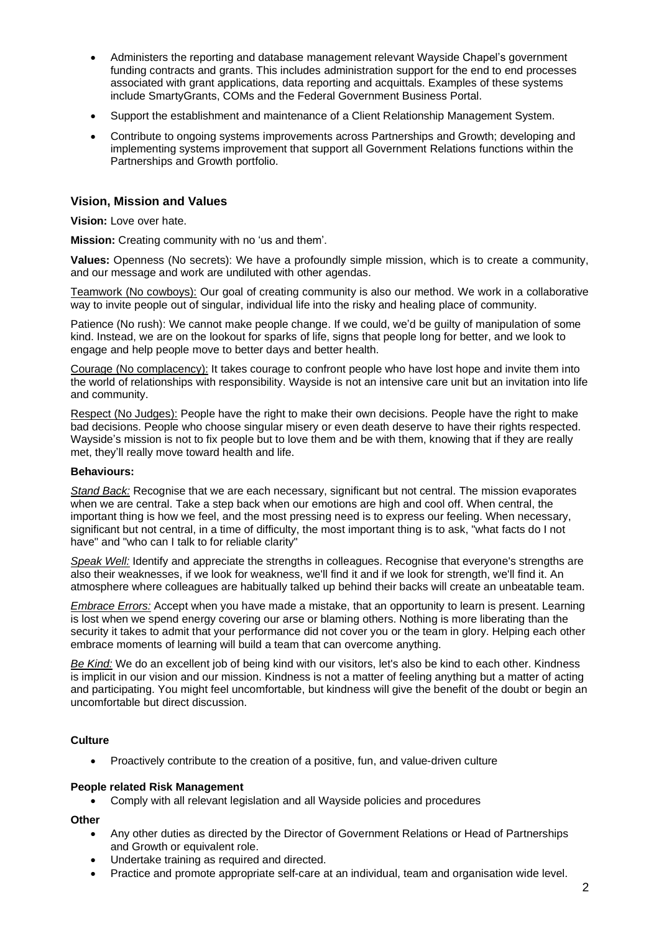- Administers the reporting and database management relevant Wayside Chapel's government funding contracts and grants. This includes administration support for the end to end processes associated with grant applications, data reporting and acquittals. Examples of these systems include SmartyGrants, COMs and the Federal Government Business Portal.
- Support the establishment and maintenance of a Client Relationship Management System.
- Contribute to ongoing systems improvements across Partnerships and Growth; developing and implementing systems improvement that support all Government Relations functions within the Partnerships and Growth portfolio.

### **Vision, Mission and Values**

**Vision:** Love over hate.

**Mission:** Creating community with no 'us and them'.

**Values:** Openness (No secrets): We have a profoundly simple mission, which is to create a community, and our message and work are undiluted with other agendas.

Teamwork (No cowboys): Our goal of creating community is also our method. We work in a collaborative way to invite people out of singular, individual life into the risky and healing place of community.

Patience (No rush): We cannot make people change. If we could, we'd be guilty of manipulation of some kind. Instead, we are on the lookout for sparks of life, signs that people long for better, and we look to engage and help people move to better days and better health.

Courage (No complacency): It takes courage to confront people who have lost hope and invite them into the world of relationships with responsibility. Wayside is not an intensive care unit but an invitation into life and community.

Respect (No Judges): People have the right to make their own decisions. People have the right to make bad decisions. People who choose singular misery or even death deserve to have their rights respected. Wayside's mission is not to fix people but to love them and be with them, knowing that if they are really met, they'll really move toward health and life.

#### **Behaviours:**

*Stand Back:* Recognise that we are each necessary, significant but not central. The mission evaporates when we are central. Take a step back when our emotions are high and cool off. When central, the important thing is how we feel, and the most pressing need is to express our feeling. When necessary, significant but not central, in a time of difficulty, the most important thing is to ask, "what facts do I not have" and "who can I talk to for reliable clarity"

*Speak Well:* Identify and appreciate the strengths in colleagues. Recognise that everyone's strengths are also their weaknesses, if we look for weakness, we'll find it and if we look for strength, we'll find it. An atmosphere where colleagues are habitually talked up behind their backs will create an unbeatable team.

*Embrace Errors:* Accept when you have made a mistake, that an opportunity to learn is present. Learning is lost when we spend energy covering our arse or blaming others. Nothing is more liberating than the security it takes to admit that your performance did not cover you or the team in glory. Helping each other embrace moments of learning will build a team that can overcome anything.

*Be Kind:* We do an excellent job of being kind with our visitors, let's also be kind to each other. Kindness is implicit in our vision and our mission. Kindness is not a matter of feeling anything but a matter of acting and participating. You might feel uncomfortable, but kindness will give the benefit of the doubt or begin an uncomfortable but direct discussion.

#### **Culture**

• Proactively contribute to the creation of a positive, fun, and value-driven culture

#### **People related Risk Management**

• Comply with all relevant legislation and all Wayside policies and procedures

**Other**

- Any other duties as directed by the Director of Government Relations or Head of Partnerships and Growth or equivalent role.
- Undertake training as required and directed.
- Practice and promote appropriate self-care at an individual, team and organisation wide level.